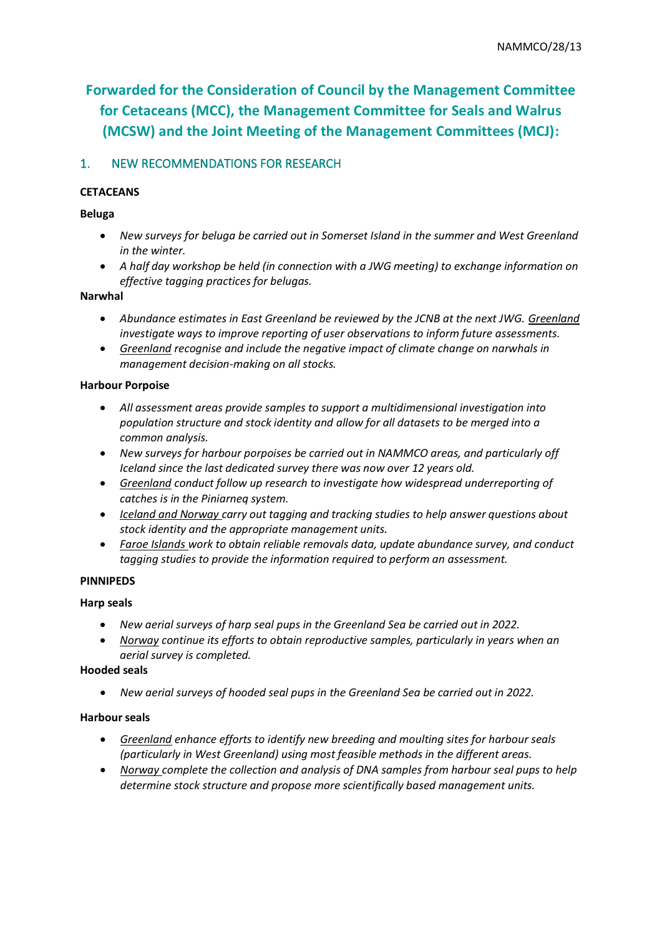# **Forwarded for the Consideration of Council by the Management Committee for Cetaceans (MCC), the Management Committee for Seals and Walrus (MCSW) and the Joint Meeting of the Management Committees (MCJ):**

# 1. NEW RECOMMENDATIONS FOR RESEARCH

## **CETACEANS**

#### **Beluga**

- *New surveys for beluga be carried out in Somerset Island in the summer and West Greenland in the winter.*
- *A half day workshop be held (in connection with a JWG meeting) to exchange information on effective tagging practices for belugas.*

#### **Narwhal**

- *Abundance estimates in East Greenland be reviewed by the JCNB at the next JWG. Greenland investigate ways to improve reporting of user observations to inform future assessments.*
- *Greenland recognise and include the negative impact of climate change on narwhals in management decision-making on all stocks.*

### **Harbour Porpoise**

- *All assessment areas provide samples to support a multidimensional investigation into population structure and stock identity and allow for all datasets to be merged into a common analysis.*
- *New surveys for harbour porpoises be carried out in NAMMCO areas, and particularly off Iceland since the last dedicated survey there was now over 12 years old.*
- *Greenland conduct follow up research to investigate how widespread underreporting of catches is in the Piniarneq system.*
- *Iceland and Norway carry out tagging and tracking studies to help answer questions about stock identity and the appropriate management units.*
- *Faroe Islands work to obtain reliable removals data, update abundance survey, and conduct tagging studies to provide the information required to perform an assessment.*

#### **PINNIPEDS**

#### **Harp seals**

- *New aerial surveys of harp seal pups in the Greenland Sea be carried out in 2022.*
- *Norway continue its efforts to obtain reproductive samples, particularly in years when an aerial survey is completed.*

#### **Hooded seals**

• *New aerial surveys of hooded seal pups in the Greenland Sea be carried out in 2022.* 

#### **Harbour seals**

- *Greenland enhance efforts to identify new breeding and moulting sites for harbour seals (particularly in West Greenland) using most feasible methods in the different areas.*
- *Norway complete the collection and analysis of DNA samples from harbour seal pups to help determine stock structure and propose more scientifically based management units.*